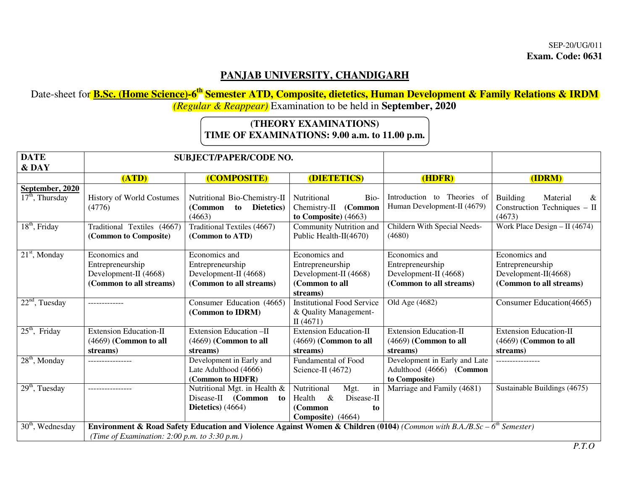## **PANJAB UNIVERSITY, CHANDIGARH**

 Date-sheet for **B.Sc. (Home Science)-6th Semester ATD, Composite, dietetics, Human Development & Family Relations & IRDM**  *(Regular & Reappear)* Examination to be held in **September, 2020** 

## **(THEORY EXAMINATIONS) TIME OF EXAMINATIONS: 9.00 a.m. to 11.00 p.m.**

| <b>DATE</b><br>& DAY                 | <b>SUBJECT/PAPER/CODE NO.</b>                                                                                                                                                        |                                                                                       |                                                                                                 |                                                                                       |                                                                                      |
|--------------------------------------|--------------------------------------------------------------------------------------------------------------------------------------------------------------------------------------|---------------------------------------------------------------------------------------|-------------------------------------------------------------------------------------------------|---------------------------------------------------------------------------------------|--------------------------------------------------------------------------------------|
|                                      | (ATD)                                                                                                                                                                                | (COMPOSITE)                                                                           | (DIETETICS)                                                                                     | (HDFR)                                                                                | (IDRM)                                                                               |
| September, 2020<br>$17th$ , Thursday | History of World Costumes<br>(4776)                                                                                                                                                  | Nutritional Bio-Chemistry-II<br>to Dietetics)<br>(Common<br>(4663)                    | Nutritional<br>Bio-<br>(Common<br>Chemistry-II<br>to Composite) $(4663)$                        | Introduction to Theories of<br>Human Development-II (4679)                            | <b>Building</b><br>Material<br>&<br>Construction Techniques - II<br>(4673)           |
| $18th$ , Friday                      | Traditional Textiles (4667)<br>(Common to Composite)                                                                                                                                 | Traditional Textiles (4667)<br>(Common to ATD)                                        | Community Nutrition and<br>Public Health- $\Pi(4670)$                                           | Childern With Special Needs-<br>(4680)                                                | Work Place Design - II (4674)                                                        |
| $21st$ , Monday                      | Economics and<br>Entrepreneurship<br>Development-II (4668)<br>(Common to all streams)                                                                                                | Economics and<br>Entrepreneurship<br>Development-II (4668)<br>(Common to all streams) | Economics and<br>Entrepreneurship<br>Development-II (4668)<br>(Common to all<br>streams)        | Economics and<br>Entrepreneurship<br>Development-II (4668)<br>(Common to all streams) | Economics and<br>Entrepreneurship<br>Development-II(4668)<br>(Common to all streams) |
| $22nd$ , Tuesday                     |                                                                                                                                                                                      | Consumer Education (4665)<br>(Common to IDRM)                                         | <b>Institutional Food Service</b><br>& Quality Management-<br>II(4671)                          | Old Age (4682)                                                                        | Consumer Education(4665)                                                             |
| $25th$ , Friday                      | <b>Extension Education-II</b><br>$(4669)$ (Common to all<br>streams)                                                                                                                 | Extension Education -II<br>$(4669)$ (Common to all<br>streams)                        | <b>Extension Education-II</b><br>$(4669)$ (Common to all<br>streams)                            | <b>Extension Education-II</b><br>$(4669)$ (Common to all<br>streams)                  | <b>Extension Education-II</b><br>$(4669)$ (Common to all<br>streams)                 |
| $28th$ , Monday                      | ----------------                                                                                                                                                                     | Development in Early and<br>Late Adulthood (4666)<br>(Common to HDFR)                 | Fundamental of Food<br>Science-II (4672)                                                        | Development in Early and Late<br>Adulthood (4666) (Common<br>to Composite)            | ----------------                                                                     |
| $29th$ , Tuesday                     |                                                                                                                                                                                      | Nutritional Mgt. in Health &<br>Disease-II (Common<br>to<br>Dietetics) $(4664)$       | Nutritional<br>Mgt.<br>in<br>Disease-II<br>$\&$<br>Health<br>(Common<br>to<br>Composite) (4664) | Marriage and Family (4681)                                                            | Sustainable Buildings (4675)                                                         |
| $30th$ , Wednesday                   | Environment & Road Safety Education and Violence Against Women & Children (0104) (Common with B.A./B.Sc – 6 <sup>th</sup> Semester)<br>(Time of Examination: 2:00 p.m. to 3:30 p.m.) |                                                                                       |                                                                                                 |                                                                                       |                                                                                      |